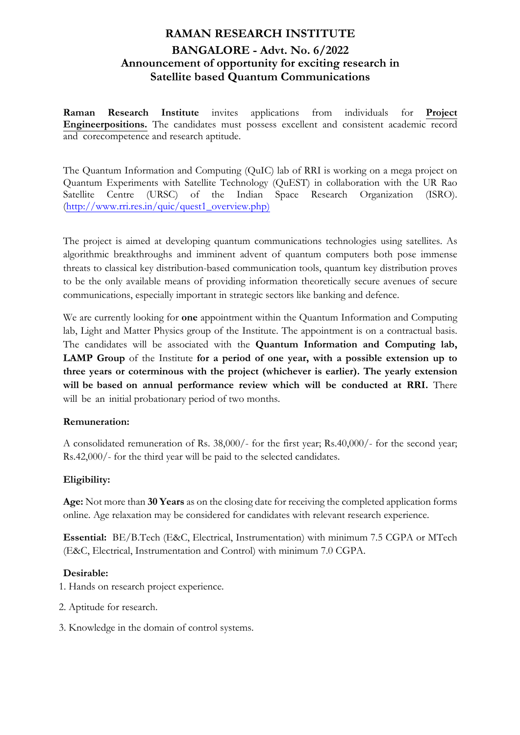# **RAMAN RESEARCH INSTITUTE BANGALORE - Advt. No. 6/2022 Announcement of opportunity for exciting research in Satellite based Quantum Communications**

**Raman Research Institute** invites applications from individuals for **Project Engineerpositions.** The candidates must possess excellent and consistent academic record and corecompetence and research aptitude.

The Quantum Information and Computing (QuIC) lab of RRI is working on a mega project on Quantum Experiments with Satellite Technology (QuEST) in collaboration with the UR Rao Satellite Centre (URSC) of the Indian Space Research Organization (ISRO). (http://www.rri.res.in/quic/quest1\_overview.php)

The project is aimed at developing quantum communications technologies using satellites. As algorithmic breakthroughs and imminent advent of quantum computers both pose immense threats to classical key distribution-based communication tools, quantum key distribution proves to be the only available means of providing information theoretically secure avenues of secure communications, especially important in strategic sectors like banking and defence.

We are currently looking for **one** appointment within the Quantum Information and Computing lab, Light and Matter Physics group of the Institute. The appointment is on a contractual basis. The candidates will be associated with the **Quantum Information and Computing lab, LAMP Group** of the Institute **for a period of one year, with a possible extension up to three years or coterminous with the project (whichever is earlier). The yearly extension will be based on annual performance review which will be conducted at RRI.** There will be an initial probationary period of two months.

## **Remuneration:**

A consolidated remuneration of Rs. 38,000/- for the first year; Rs.40,000/- for the second year; Rs.42,000/- for the third year will be paid to the selected candidates.

### **Eligibility:**

**Age:** Not more than **30 Years** as on the closing date for receiving the completed application forms online. Age relaxation may be considered for candidates with relevant research experience.

**Essential:** BE/B.Tech (E&C, Electrical, Instrumentation) with minimum 7.5 CGPA or MTech (E&C, Electrical, Instrumentation and Control) with minimum 7.0 CGPA.

### **Desirable:**

1. Hands on research project experience.

- 2. Aptitude for research.
- 3. Knowledge in the domain of control systems.